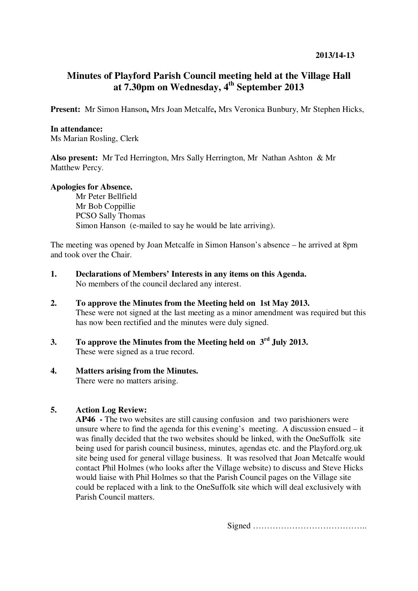# **Minutes of Playford Parish Council meeting held at the Village Hall at 7.30pm on Wednesday, 4th September 2013**

**Present:** Mr Simon Hanson**,** Mrs Joan Metcalfe**,** Mrs Veronica Bunbury, Mr Stephen Hicks,

### **In attendance:**

Ms Marian Rosling, Clerk

**Also present:** Mr Ted Herrington, Mrs Sally Herrington, Mr Nathan Ashton & Mr Matthew Percy.

# **Apologies for Absence.**

Mr Peter Bellfield Mr Bob Coppillie PCSO Sally Thomas Simon Hanson (e-mailed to say he would be late arriving).

The meeting was opened by Joan Metcalfe in Simon Hanson's absence – he arrived at 8pm and took over the Chair.

- **1. Declarations of Members' Interests in any items on this Agenda.**  No members of the council declared any interest.
- **2. To approve the Minutes from the Meeting held on 1st May 2013.**  These were not signed at the last meeting as a minor amendment was required but this has now been rectified and the minutes were duly signed.
- **3. To approve the Minutes from the Meeting held on 3rd July 2013.**  These were signed as a true record.

# **4. Matters arising from the Minutes.**

There were no matters arising.

# **5. Action Log Review:**

**AP46 -** The two websites are still causing confusion and two parishioners were unsure where to find the agenda for this evening's meeting. A discussion ensued – it was finally decided that the two websites should be linked, with the OneSuffolk site being used for parish council business, minutes, agendas etc. and the Playford.org.uk site being used for general village business. It was resolved that Joan Metcalfe would contact Phil Holmes (who looks after the Village website) to discuss and Steve Hicks would liaise with Phil Holmes so that the Parish Council pages on the Village site could be replaced with a link to the OneSuffolk site which will deal exclusively with Parish Council matters.

Signed …………………………………..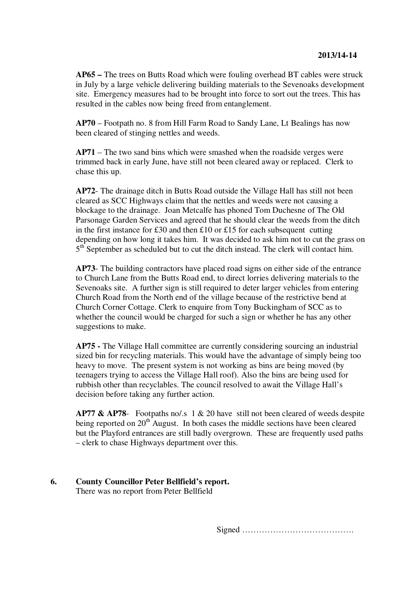**AP65 –** The trees on Butts Road which were fouling overhead BT cables were struck in July by a large vehicle delivering building materials to the Sevenoaks development site. Emergency measures had to be brought into force to sort out the trees. This has resulted in the cables now being freed from entanglement.

**AP70** – Footpath no. 8 from Hill Farm Road to Sandy Lane, Lt Bealings has now been cleared of stinging nettles and weeds.

**AP71** – The two sand bins which were smashed when the roadside verges were trimmed back in early June, have still not been cleared away or replaced. Clerk to chase this up.

**AP72**- The drainage ditch in Butts Road outside the Village Hall has still not been cleared as SCC Highways claim that the nettles and weeds were not causing a blockage to the drainage. Joan Metcalfe has phoned Tom Duchesne of The Old Parsonage Garden Services and agreed that he should clear the weeds from the ditch in the first instance for £30 and then £10 or £15 for each subsequent cutting depending on how long it takes him. It was decided to ask him not to cut the grass on 5<sup>th</sup> September as scheduled but to cut the ditch instead. The clerk will contact him.

**AP73**- The building contractors have placed road signs on either side of the entrance to Church Lane from the Butts Road end, to direct lorries delivering materials to the Sevenoaks site. A further sign is still required to deter larger vehicles from entering Church Road from the North end of the village because of the restrictive bend at Church Corner Cottage. Clerk to enquire from Tony Buckingham of SCC as to whether the council would be charged for such a sign or whether he has any other suggestions to make.

**AP75 -** The Village Hall committee are currently considering sourcing an industrial sized bin for recycling materials. This would have the advantage of simply being too heavy to move. The present system is not working as bins are being moved (by teenagers trying to access the Village Hall roof). Also the bins are being used for rubbish other than recyclables. The council resolved to await the Village Hall's decision before taking any further action.

**AP77 & AP78**- Footpaths no/.s 1 & 20 have still not been cleared of weeds despite being reported on  $20<sup>th</sup>$  August. In both cases the middle sections have been cleared but the Playford entrances are still badly overgrown. These are frequently used paths – clerk to chase Highways department over this.

#### **6. County Councillor Peter Bellfield's report.**  There was no report from Peter Bellfield

Signed ………………………………….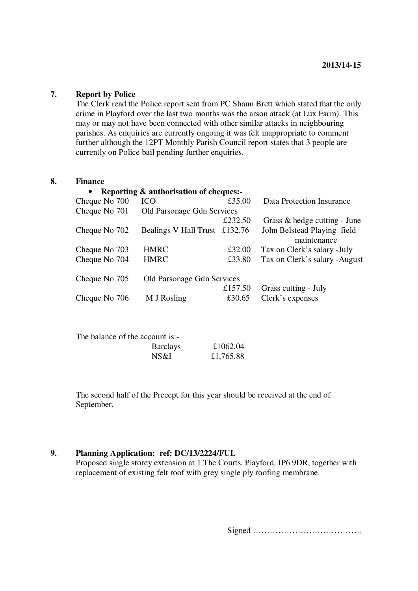### **7. Report by Police**

The Clerk read the Police report sent from PC Shaun Brett which stated that the only crime in Playford over the last two months was the arson attack (at Lux Farm). This may or may not have been connected with other similar attacks in neighbouring parishes. As enquiries are currently ongoing it was felt inappropriate to comment further although the 12PT Monthly Parish Council report states that 3 people are currently on Police bail pending further enquiries.

### **8. Finance**

| <b>ICO</b>                 | £35.00  | Data Protection Insurance                                               |
|----------------------------|---------|-------------------------------------------------------------------------|
| Old Parsonage Gdn Services |         |                                                                         |
|                            | £232.50 | Grass & hedge cutting - June                                            |
|                            |         | John Belstead Playing field                                             |
|                            |         | maintenance                                                             |
| <b>HMRC</b>                | £32.00  | Tax on Clerk's salary - July                                            |
| <b>HMRC</b>                | £33.80  | Tax on Clerk's salary - August                                          |
| Old Parsonage Gdn Services |         |                                                                         |
|                            | £157.50 | Grass cutting - July                                                    |
| M J Rosling                | £30.65  | Clerk's expenses                                                        |
|                            |         | Reporting & authorisation of cheques:-<br>Bealings V Hall Trust £132.76 |

| The balance of the account is:- |                 |           |
|---------------------------------|-----------------|-----------|
|                                 | <b>Barclays</b> | £1062.04  |
|                                 | NS&I            | £1,765.88 |

The second half of the Precept for this year should be received at the end of September.

# **9. Planning Application: ref: DC/13/2224/FUL**

Proposed single storey extension at 1 The Courts, Playford, IP6 9DR, together with replacement of existing felt roof with grey single ply roofing membrane.

Signed …………………………………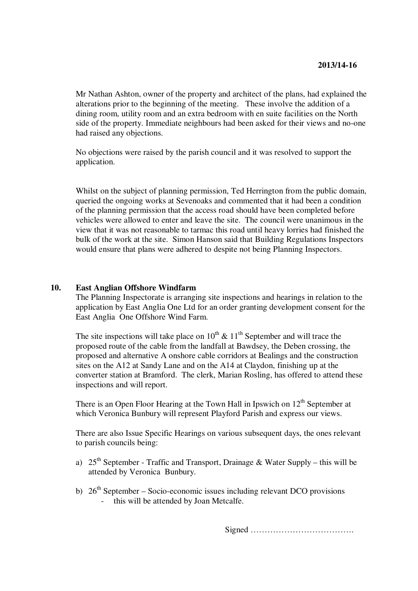Mr Nathan Ashton, owner of the property and architect of the plans, had explained the alterations prior to the beginning of the meeting. These involve the addition of a dining room, utility room and an extra bedroom with en suite facilities on the North side of the property. Immediate neighbours had been asked for their views and no-one had raised any objections.

No objections were raised by the parish council and it was resolved to support the application.

Whilst on the subject of planning permission, Ted Herrington from the public domain, queried the ongoing works at Sevenoaks and commented that it had been a condition of the planning permission that the access road should have been completed before vehicles were allowed to enter and leave the site. The council were unanimous in the view that it was not reasonable to tarmac this road until heavy lorries had finished the bulk of the work at the site. Simon Hanson said that Building Regulations Inspectors would ensure that plans were adhered to despite not being Planning Inspectors.

#### **10. East Anglian Offshore Windfarm**

The Planning Inspectorate is arranging site inspections and hearings in relation to the application by East Anglia One Ltd for an order granting development consent for the East Anglia One Offshore Wind Farm.

The site inspections will take place on  $10^{th} \& 11^{th}$  September and will trace the proposed route of the cable from the landfall at Bawdsey, the Deben crossing, the proposed and alternative A onshore cable corridors at Bealings and the construction sites on the A12 at Sandy Lane and on the A14 at Claydon, finishing up at the converter station at Bramford. The clerk, Marian Rosling, has offered to attend these inspections and will report.

There is an Open Floor Hearing at the Town Hall in Ipswich on  $12<sup>th</sup>$  September at which Veronica Bunbury will represent Playford Parish and express our views.

There are also Issue Specific Hearings on various subsequent days, the ones relevant to parish councils being:

- a)  $25<sup>th</sup> September Traffic and Transport, Drainage & Water Supply this will be$ attended by Veronica Bunbury.
- b)  $26<sup>th</sup> September Socio-economic issues including relevant DCO provisions$ - this will be attended by Joan Metcalfe.

Signed ……………………………….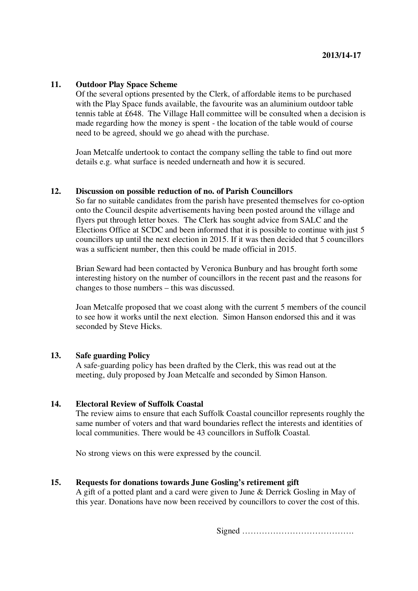# **11. Outdoor Play Space Scheme**

Of the several options presented by the Clerk, of affordable items to be purchased with the Play Space funds available, the favourite was an aluminium outdoor table tennis table at £648. The Village Hall committee will be consulted when a decision is made regarding how the money is spent - the location of the table would of course need to be agreed, should we go ahead with the purchase.

Joan Metcalfe undertook to contact the company selling the table to find out more details e.g. what surface is needed underneath and how it is secured.

#### **12. Discussion on possible reduction of no. of Parish Councillors**

So far no suitable candidates from the parish have presented themselves for co-option onto the Council despite advertisements having been posted around the village and flyers put through letter boxes. The Clerk has sought advice from SALC and the Elections Office at SCDC and been informed that it is possible to continue with just 5 councillors up until the next election in 2015. If it was then decided that 5 councillors was a sufficient number, then this could be made official in 2015.

Brian Seward had been contacted by Veronica Bunbury and has brought forth some interesting history on the number of councillors in the recent past and the reasons for changes to those numbers – this was discussed.

Joan Metcalfe proposed that we coast along with the current 5 members of the council to see how it works until the next election. Simon Hanson endorsed this and it was seconded by Steve Hicks.

#### **13. Safe guarding Policy**

A safe-guarding policy has been drafted by the Clerk, this was read out at the meeting, duly proposed by Joan Metcalfe and seconded by Simon Hanson.

#### **14. Electoral Review of Suffolk Coastal**

The review aims to ensure that each Suffolk Coastal councillor represents roughly the same number of voters and that ward boundaries reflect the interests and identities of local communities. There would be 43 councillors in Suffolk Coastal.

No strong views on this were expressed by the council.

#### **15. Requests for donations towards June Gosling's retirement gift**

A gift of a potted plant and a card were given to June & Derrick Gosling in May of this year. Donations have now been received by councillors to cover the cost of this.

Signed ………………………………….